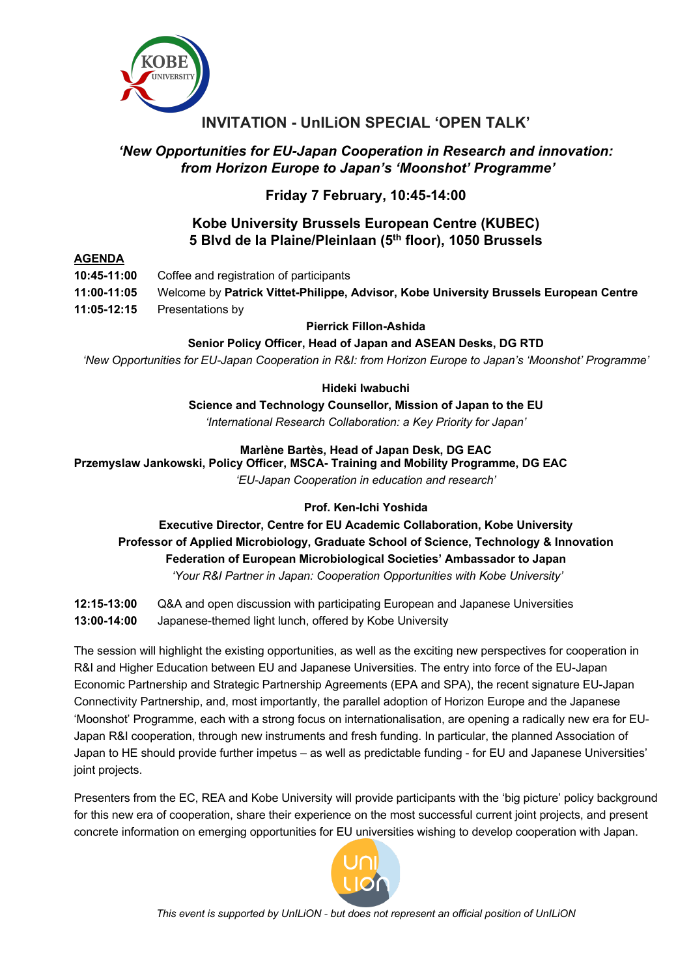

# **INVITATION - UnILiON SPECIAL 'OPEN TALK'**

## *'New Opportunities for EU-Japan Cooperation in Research and innovation: from Horizon Europe to Japan's 'Moonshot' Programme'*

**Friday 7 February, 10:45-14:00**

## **Kobe University Brussels European Centre (KUBEC) 5 Blvd de la Plaine/Pleinlaan (5th floor), 1050 Brussels**

### **AGENDA**

| 10:45-11:00 | Coffee and registration of participants                                               |
|-------------|---------------------------------------------------------------------------------------|
| 11:00-11:05 | Welcome by Patrick Vittet-Philippe, Advisor, Kobe University Brussels European Centre |
| 11:05-12:15 | Presentations by                                                                      |

**Pierrick Fillon-Ashida**

**Senior Policy Officer, Head of Japan and ASEAN Desks, DG RTD** *'New Opportunities for EU-Japan Cooperation in R&I: from Horizon Europe to Japan's 'Moonshot' Programme'*

> **Hideki Iwabuchi Science and Technology Counsellor, Mission of Japan to the EU** *'International Research Collaboration: a Key Priority for Japan'*

> > **Marlène Bartès, Head of Japan Desk, DG EAC**

**Przemyslaw Jankowski, Policy Officer, MSCA- Training and Mobility Programme, DG EAC**

*'EU-Japan Cooperation in education and research'*

### **Prof. Ken-Ichi Yoshida**

**Executive Director, Centre for EU Academic Collaboration, Kobe University Professor of Applied Microbiology, Graduate School of Science, Technology & Innovation Federation of European Microbiological Societies' Ambassador to Japan** *'Your R&I Partner in Japan: Cooperation Opportunities with Kobe University'*

**12:15-13:00** Q&A and open discussion with participating European and Japanese Universities **13:00-14:00** Japanese-themed light lunch, offered by Kobe University

The session will highlight the existing opportunities, as well as the exciting new perspectives for cooperation in R&I and Higher Education between EU and Japanese Universities. The entry into force of the EU-Japan Economic Partnership and Strategic Partnership Agreements (EPA and SPA), the recent signature EU-Japan Connectivity Partnership, and, most importantly, the parallel adoption of Horizon Europe and the Japanese 'Moonshot' Programme, each with a strong focus on internationalisation, are opening a radically new era for EU-Japan R&I cooperation, through new instruments and fresh funding. In particular, the planned Association of Japan to HE should provide further impetus – as well as predictable funding - for EU and Japanese Universities' joint projects.

Presenters from the EC, REA and Kobe University will provide participants with the 'big picture' policy background for this new era of cooperation, share their experience on the most successful current joint projects, and present concrete information on emerging opportunities for EU universities wishing to develop cooperation with Japan.



*This event is supported by UnILiON - but does not represent an official position of UnILiON*